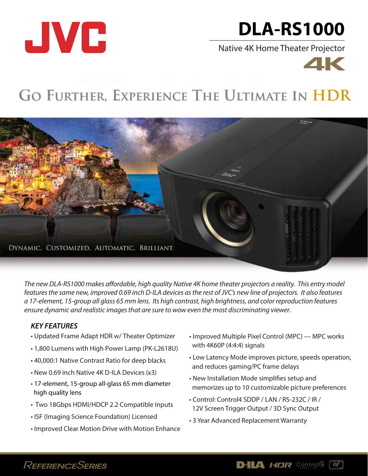

# **DLA-RS1000**

Native 4K Home Theater Projector



## GO FURTHER, EXPERIENCE THE ULTIMATE IN HDR



The new DLA-RS1000 makes affordable, high quality Native 4K home theater projectors a reality. This entry model *features the same new, improved 0.69 inch D-ILA devices as the rest of JVC's new line of projectors. It also features a 17-element, 15-group all glass 65 mm lens. Its high contrast, high brightness, and color reproduction features ensure dynamic and realistic images that are sure to wow even the most discriminating viewer.*

## *KEY FEATURES*

- Updated Frame Adapt HDR w/ Theater Optimizer
- 1,800 Lumens with High Power Lamp (PK-L2618U)
- 40,000:1 Native Contrast Ratio for deep blacks
- New 0.69 inch Native 4K D-ILA Devices (x3)
- 17-element, 15-group all-glass 65 mm diameter high quality lens
- Two 18Gbps HDMI/HDCP 2.2 Compatible Inputs
- ISF (Imaging Science Foundation) Licensed
- Improved Clear Motion Drive with Motion Enhance
- Improved Multiple Pixel Control (MPC) MPC works with 4K60P (4:4:4) signals
- Low Latency Mode improves picture, speeds operation, and reduces gaming/PC frame delays
- New Installation Mode simplifies setup and memorizes up to 10 customizable picture preferences
- Control: Control4 SDDP / LAN / RS-232C / IR / 12V Screen Trigger Output / 3D Sync Output
- 3 Year Advanced Replacement Warranty